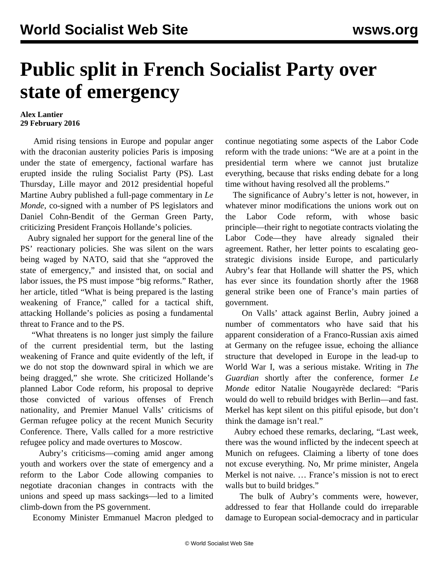## **Public split in French Socialist Party over state of emergency**

## **Alex Lantier 29 February 2016**

 Amid rising tensions in Europe and popular anger with the draconian austerity policies Paris is imposing under the state of emergency, factional warfare has erupted inside the ruling Socialist Party (PS). Last Thursday, Lille mayor and 2012 presidential hopeful Martine Aubry published a full-page commentary in *Le Monde*, co-signed with a number of PS legislators and Daniel Cohn-Bendit of the German Green Party, criticizing President François Hollande's policies.

 Aubry signaled her support for the general line of the PS' reactionary policies. She was silent on the wars being waged by NATO, said that she "approved the state of emergency," and insisted that, on social and labor issues, the PS must impose "big reforms." Rather, her article, titled "What is being prepared is the lasting weakening of France," called for a tactical shift, attacking Hollande's policies as posing a fundamental threat to France and to the PS.

 "What threatens is no longer just simply the failure of the current presidential term, but the lasting weakening of France and quite evidently of the left, if we do not stop the downward spiral in which we are being dragged," she wrote. She criticized Hollande's planned Labor Code reform, his proposal to deprive those convicted of various offenses of French nationality, and Premier Manuel Valls' [criticisms](/en/articles/2016/02/17/pers-f17.html) of German refugee policy at the recent Munich Security Conference. There, Valls called for a more restrictive refugee policy and made overtures to Moscow.

 Aubry's criticisms—coming amid [anger](/en/articles/2016/02/25/code-f25.html) among youth and workers over the state of emergency and a reform to the Labor Code allowing companies to negotiate draconian changes in contracts with the unions and speed up mass sackings—led to a limited climb-down from the PS government.

Economy Minister Emmanuel Macron pledged to

continue negotiating some aspects of the Labor Code reform with the trade unions: "We are at a point in the presidential term where we cannot just brutalize everything, because that risks ending debate for a long time without having resolved all the problems."

 The significance of Aubry's letter is not, however, in whatever minor modifications the unions work out on the Labor Code reform, with whose basic principle—their right to negotiate contracts violating the Labor Code—they have already signaled their agreement. Rather, her letter points to escalating geostrategic divisions inside Europe, and particularly Aubry's fear that Hollande will shatter the PS, which has ever since its foundation shortly after the 1968 general strike been one of France's main parties of government.

 On Valls' attack against Berlin, Aubry joined a number of commentators who have said that his apparent consideration of a Franco-Russian axis aimed at Germany on the refugee issue, echoing the alliance structure that developed in Europe in the lead-up to World War I, was a serious mistake. Writing in *The Guardian* shortly after the conference, former *Le Monde* editor Natalie Nougayrède declared: "Paris would do well to rebuild bridges with Berlin—and fast. Merkel has kept silent on this pitiful episode, but don't think the damage isn't real."

 Aubry echoed these remarks, declaring, "Last week, there was the wound inflicted by the indecent speech at Munich on refugees. Claiming a liberty of tone does not excuse everything. No, Mr prime minister, Angela Merkel is not naive. … France's mission is not to erect walls but to build bridges."

 The bulk of Aubry's comments were, however, addressed to fear that Hollande could do irreparable damage to European social-democracy and in particular